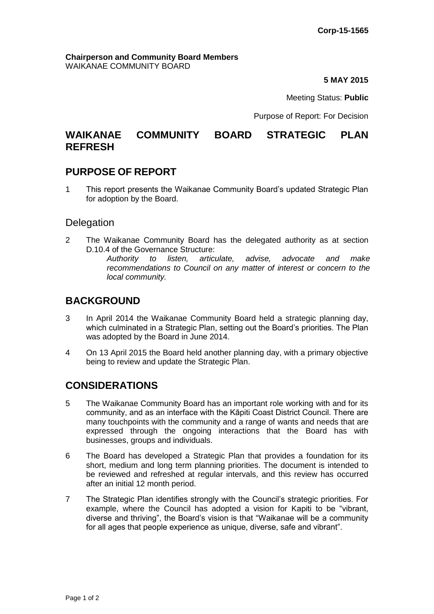#### **Chairperson and Community Board Members** WAIKANAE COMMUNITY BOARD

**5 MAY 2015**

Meeting Status: **Public**

Purpose of Report: For Decision

# **WAIKANAE COMMUNITY BOARD STRATEGIC PLAN REFRESH**

# **PURPOSE OF REPORT**

1 This report presents the Waikanae Community Board's updated Strategic Plan for adoption by the Board.

## **Delegation**

2 The Waikanae Community Board has the delegated authority as at section D.10.4 of the Governance Structure:

> *Authority to listen, articulate, advise, advocate and make recommendations to Council on any matter of interest or concern to the local community.*

# **BACKGROUND**

- 3 In April 2014 the Waikanae Community Board held a strategic planning day, which culminated in a Strategic Plan, setting out the Board's priorities. The Plan was adopted by the Board in June 2014.
- 4 On 13 April 2015 the Board held another planning day, with a primary objective being to review and update the Strategic Plan.

# **CONSIDERATIONS**

- 5 The Waikanae Community Board has an important role working with and for its community, and as an interface with the Kāpiti Coast District Council. There are many touchpoints with the community and a range of wants and needs that are expressed through the ongoing interactions that the Board has with businesses, groups and individuals.
- 6 The Board has developed a Strategic Plan that provides a foundation for its short, medium and long term planning priorities. The document is intended to be reviewed and refreshed at regular intervals, and this review has occurred after an initial 12 month period.
- 7 The Strategic Plan identifies strongly with the Council's strategic priorities. For example, where the Council has adopted a vision for Kapiti to be "vibrant, diverse and thriving", the Board's vision is that "Waikanae will be a community for all ages that people experience as unique, diverse, safe and vibrant".